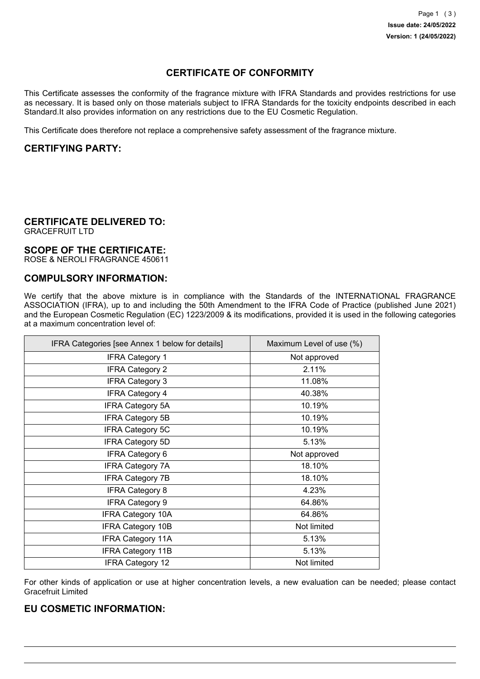# **CERTIFICATE OF CONFORMITY**

This Certificate assesses the conformity of the fragrance mixture with IFRA Standards and provides restrictions for use as necessary. It is based only on those materials subject to IFRA Standards for the toxicity endpoints described in each Standard.It also provides information on any restrictions due to the EU Cosmetic Regulation.

This Certificate does therefore not replace a comprehensive safety assessment of the fragrance mixture.

## **CERTIFYING PARTY:**

### **CERTIFICATE DELIVERED TO:**

GRACEFRUIT LTD

#### **SCOPE OF THE CERTIFICATE:**

ROSE & NEROLI FRAGRANCE 450611

### **COMPULSORY INFORMATION:**

We certify that the above mixture is in compliance with the Standards of the INTERNATIONAL FRAGRANCE ASSOCIATION (IFRA), up to and including the 50th Amendment to the IFRA Code of Practice (published June 2021) and the European Cosmetic Regulation (EC) 1223/2009 & its modifications, provided it is used in the following categories at a maximum concentration level of:

| IFRA Categories [see Annex 1 below for details] | Maximum Level of use (%) |
|-------------------------------------------------|--------------------------|
| <b>IFRA Category 1</b>                          | Not approved             |
| <b>IFRA Category 2</b>                          | 2.11%                    |
| <b>IFRA Category 3</b>                          | 11.08%                   |
| <b>IFRA Category 4</b>                          | 40.38%                   |
| <b>IFRA Category 5A</b>                         | 10.19%                   |
| <b>IFRA Category 5B</b>                         | 10.19%                   |
| <b>IFRA Category 5C</b>                         | 10.19%                   |
| <b>IFRA Category 5D</b>                         | 5.13%                    |
| <b>IFRA Category 6</b>                          | Not approved             |
| <b>IFRA Category 7A</b>                         | 18.10%                   |
| <b>IFRA Category 7B</b>                         | 18.10%                   |
| <b>IFRA Category 8</b>                          | 4.23%                    |
| <b>IFRA Category 9</b>                          | 64.86%                   |
| <b>IFRA Category 10A</b>                        | 64.86%                   |
| <b>IFRA Category 10B</b>                        | Not limited              |
| <b>IFRA Category 11A</b>                        | 5.13%                    |
| <b>IFRA Category 11B</b>                        | 5.13%                    |
| <b>IFRA Category 12</b>                         | Not limited              |

For other kinds of application or use at higher concentration levels, a new evaluation can be needed; please contact Gracefruit Limited

## **EU COSMETIC INFORMATION:**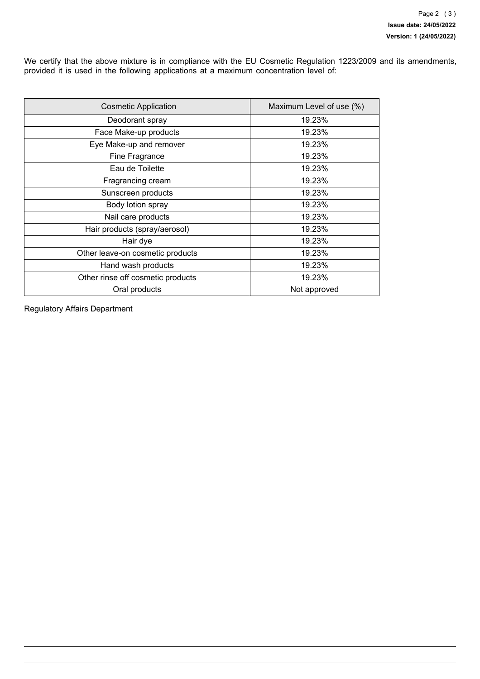We certify that the above mixture is in compliance with the EU Cosmetic Regulation 1223/2009 and its amendments, provided it is used in the following applications at a maximum concentration level of:

| <b>Cosmetic Application</b>       | Maximum Level of use (%) |
|-----------------------------------|--------------------------|
| Deodorant spray                   | 19.23%                   |
| Face Make-up products             | 19.23%                   |
| Eye Make-up and remover           | 19.23%                   |
| Fine Fragrance                    | 19.23%                   |
| Eau de Toilette                   | 19.23%                   |
| Fragrancing cream                 | 19.23%                   |
| Sunscreen products                | 19.23%                   |
| Body lotion spray                 | 19.23%                   |
| Nail care products                | 19.23%                   |
| Hair products (spray/aerosol)     | 19.23%                   |
| Hair dye                          | 19.23%                   |
| Other leave-on cosmetic products  | 19.23%                   |
| Hand wash products                | 19.23%                   |
| Other rinse off cosmetic products | 19.23%                   |
| Oral products                     | Not approved             |

Regulatory Affairs Department